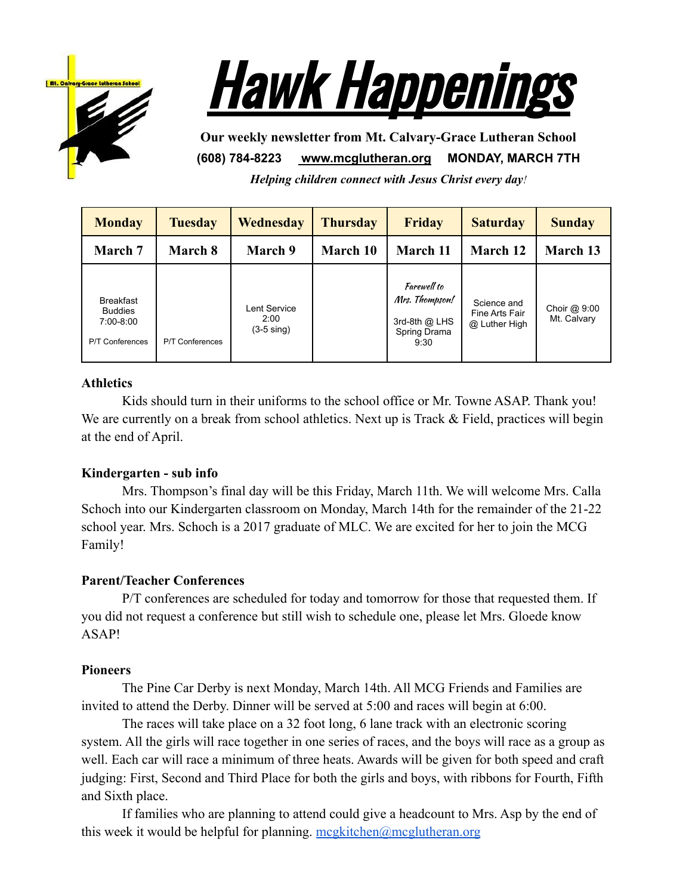



**Our weekly newsletter from Mt. Calvary-Grace Lutheran School (608) 784-8223 [www.mcglutheran.org](http://www.mcglutheran.org/) MONDAY, MARCH 7TH**

*Helping children connect with Jesus Christ every day!*

| <b>Monday</b>                                                               | <b>Tuesday</b>         | <b>Wednesday</b>                             | <b>Thursday</b> | <b>Friday</b>                                                          | <b>Saturday</b>                                | <b>Sunday</b>               |
|-----------------------------------------------------------------------------|------------------------|----------------------------------------------|-----------------|------------------------------------------------------------------------|------------------------------------------------|-----------------------------|
| <b>March</b> 7                                                              | March 8                | March 9                                      | March 10        | March 11                                                               | March 12                                       | <b>March 13</b>             |
| <b>Breakfast</b><br><b>Buddies</b><br>$7:00-8:00$<br><b>P/T Conferences</b> | <b>P/T Conferences</b> | Lent Service<br>2:00<br>$(3-5 \text{ sing})$ |                 | Farewell to<br>Mrs. Thompson!<br>3rd-8th @ LHS<br>Spring Drama<br>9:30 | Science and<br>Fine Arts Fair<br>@ Luther High | Choir @ 9:00<br>Mt. Calvary |

# **Athletics**

Kids should turn in their uniforms to the school office or Mr. Towne ASAP. Thank you! We are currently on a break from school athletics. Next up is Track & Field, practices will begin at the end of April.

# **Kindergarten - sub info**

Mrs. Thompson's final day will be this Friday, March 11th. We will welcome Mrs. Calla Schoch into our Kindergarten classroom on Monday, March 14th for the remainder of the 21-22 school year. Mrs. Schoch is a 2017 graduate of MLC. We are excited for her to join the MCG Family!

### **Parent/Teacher Conferences**

P/T conferences are scheduled for today and tomorrow for those that requested them. If you did not request a conference but still wish to schedule one, please let Mrs. Gloede know ASAP!

### **Pioneers**

The Pine Car Derby is next Monday, March 14th. All MCG Friends and Families are invited to attend the Derby. Dinner will be served at 5:00 and races will begin at 6:00.

The races will take place on a 32 foot long, 6 lane track with an electronic scoring system. All the girls will race together in one series of races, and the boys will race as a group as well. Each car will race a minimum of three heats. Awards will be given for both speed and craft judging: First, Second and Third Place for both the girls and boys, with ribbons for Fourth, Fifth and Sixth place.

If families who are planning to attend could give a headcount to Mrs. Asp by the end of this week it would be helpful for planning. [mcgkitchen@mcglutheran.org](mailto:mcgkitchen@mcglutheran.org)